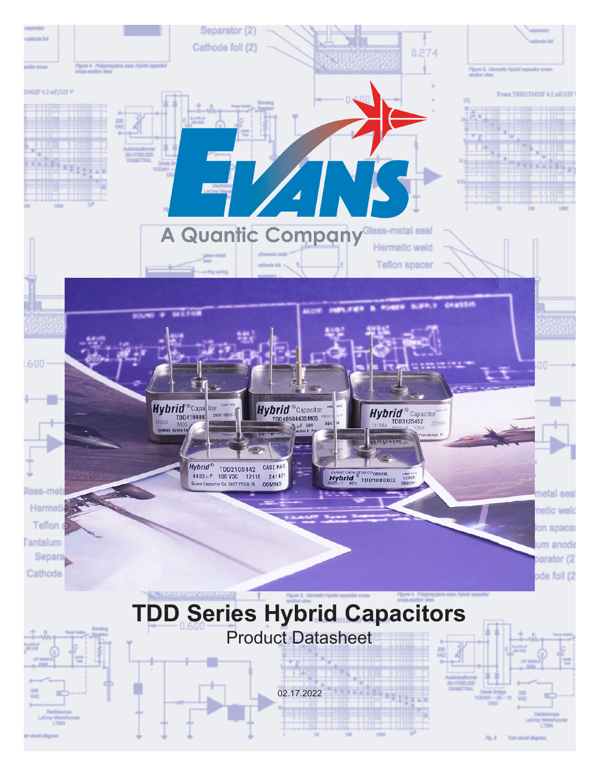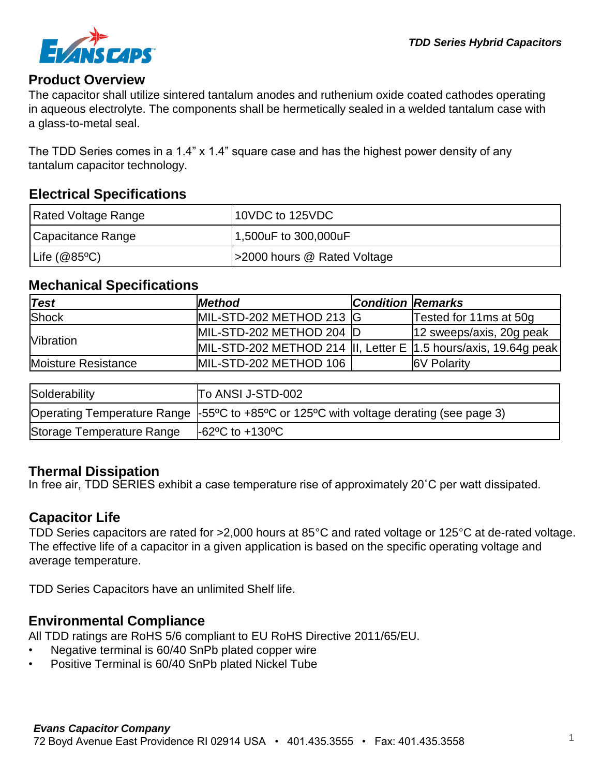

#### **Product Overview**

The capacitor shall utilize sintered tantalum anodes and ruthenium oxide coated cathodes operating in aqueous electrolyte. The components shall be hermetically sealed in a welded tantalum case with a glass-to-metal seal.

The TDD Series comes in a 1.4" x 1.4" square case and has the highest power density of any tantalum capacitor technology.

# **Electrical Specifications**

| Rated Voltage Range | 10VDC to 125VDC             |
|---------------------|-----------------------------|
| Capacitance Range   | 1,500uF to 300,000uF        |
| Life $(@85°C)$      | >2000 hours @ Rated Voltage |

# **Mechanical Specifications**

| $\sf Test$          | <b>Method</b>                                                    | <b>Condition Remarks</b> |                          |
|---------------------|------------------------------------------------------------------|--------------------------|--------------------------|
| Shock               | MIL-STD-202 METHOD 213 G                                         |                          | Tested for 11ms at 50g   |
| <b>Nibration</b>    | MIL-STD-202 METHOD 204 D                                         |                          | 12 sweeps/axis, 20g peak |
|                     | MIL-STD-202 METHOD 214 III, Letter E 1.5 hours/axis, 19.64g peak |                          |                          |
| Moisture Resistance | MIL-STD-202 METHOD 106                                           |                          | <b>6V Polarity</b>       |
|                     |                                                                  |                          |                          |
| Roldorobility       | רה גוופו ובפדם החי                                               |                          |                          |

| Solderability             | To ANSI J-STD-002                                                                      |
|---------------------------|----------------------------------------------------------------------------------------|
|                           | Operating Temperature Range -55°C to +85°C or 125°C with voltage derating (see page 3) |
| Storage Temperature Range | $-62^{\circ}$ C to $+130^{\circ}$ C                                                    |

# **Thermal Dissipation**

In free air, TDD SERIES exhibit a case temperature rise of approximately 20˚C per watt dissipated.

# **Capacitor Life**

TDD Series capacitors are rated for >2,000 hours at 85°C and rated voltage or 125°C at de-rated voltage. The effective life of a capacitor in a given application is based on the specific operating voltage and average temperature.

TDD Series Capacitors have an unlimited Shelf life.

# **Environmental Compliance**

All TDD ratings are RoHS 5/6 compliant to EU RoHS Directive 2011/65/EU.

- Negative terminal is 60/40 SnPb plated copper wire
- Positive Terminal is 60/40 SnPb plated Nickel Tube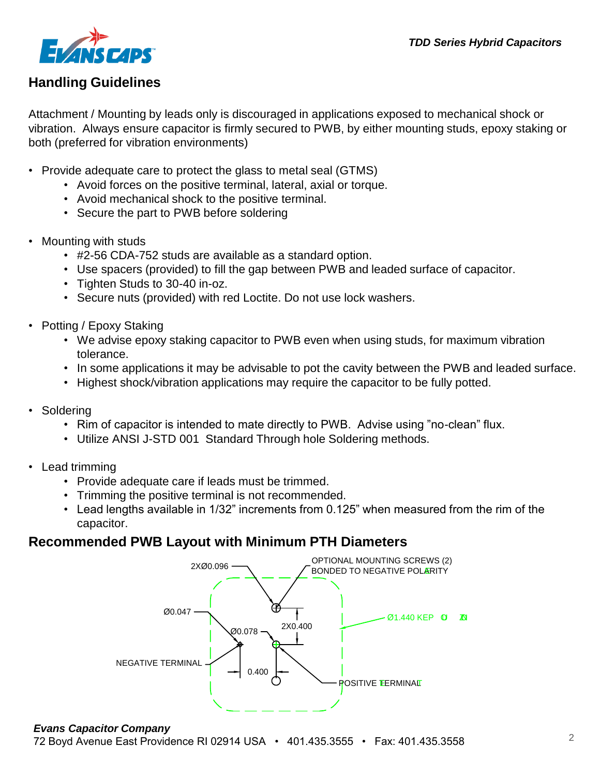

# **Handling Guidelines**

Attachment / Mounting by leads only is discouraged in applications exposed to mechanical shock or vibration. Always ensure capacitor is firmly secured to PWB, by either mounting studs, epoxy staking or both (preferred for vibration environments)

- Provide adequate care to protect the glass to metal seal (GTMS)
	- Avoid forces on the positive terminal, lateral, axial or torque.
	- Avoid mechanical shock to the positive terminal.
	- **•** Secure the part to PWB before soldering
- Mounting with studs
	- nting with studs<br>• #2-56 CDA-752 studs are available as a standard option.
	- Use spacers (provided) to fill the gap between PWB and leaded surface of capacitor.
	- Tighten Studs to 30-40 in-oz.
	- Secure nuts (provided) with red Loctite. Do not use lock washers.
- Potting / Epoxy Staking
	- We advise epoxy staking capacitor to PWB even when using studs, for maximum vibration tolerance.
	- In some applications it may be advisable to pot the cavity between the PWB and leaded surface.
	- Highest shock/vibration applications may require the capacitor to be fully potted.
- Soldering
	- Rim of capacitor is intended to mate directly to PWB. Advise using "no-clean" flux.
	- Utilize ANSI J-STD 001 Standard Through hole Soldering methods.
- Lead trimming
	- Provide adequate care if leads must be trimmed.
	- Trimming the positive terminal is not recommended.
- Trimming the positive terminal is not recommended.<br>• Lead lengths available in 1/32" increments from 0.125" when measured from the rim of the capacitor. **RECOMMENDED PWB LAYOUT WITH MINIMUM PTH DIAMETERS**

# **Recommended PWB Layout with Minimum PTH Diameters**



#### *Evans Capacitor Company*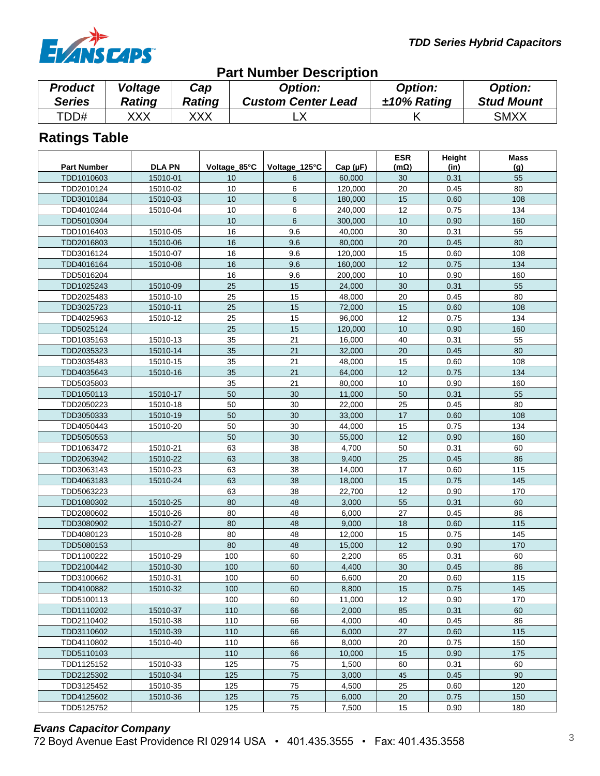

#### **Ratings Table Part Number Description** *Product Series Voltage Rating Cap Rating Option: Custom Center Lead Option: ±10% Rating Option: Stud Mount* TDD# XXX XXX LX K SMXX Part Number | DLA PN | Voltage\_85°C | Voltage\_125°C | Cap (µF) **ESR (mΩ) Height (in) Mass (g)** TDD1010603 | 15010-01 | 10 | 6 | 60,000 | 30 | 0.31 | 55 TDD2010124 | 15010-02 | 10 | 6 | 120,000 | 20 | 0.45 | 80 TDD3010184 | 15010-03 | 10 | 6 | 180,000 | 15 | 0.60 | 108 TDD4010244 15010-04 10 6 240,000 12 0.75 134 TDD5010304 | | | 10 | 6 | 300,000 | 10 | 0.90 | 160 TDD1016403 15010-05 16 16 9.6 40,<u>000 30 0.31 55</u> TDD2016803 | 15010-06 | 16 | 9.6 | 80,000 | 20 | 0.45 | 80 TDD3016124 | 15010-07 | 16 | 9.6 | 120,000 | 15 | 0.60 | 108 TDD4016164 | 15010-08 | 16 | 9.6 | 160,000 | 12 | 0.75 | 134 TDD5016204 | | 16 | 9.6 | 200,000 | 10 | 0.90 | 160 TDD1025243 15010-09 25 15 24,000 30 0.31 55 TDD2025483 | 15010-10 | 25 | 15 | 48,000 | 20 | 0.45 | 80 TDD3025723 | 15010-11 | 25 | 15 | 72,000 | 15 | 0.60 | 108 TDD4025963 | 15010-12 | 25 | 15 | 96,000 | 12 | 0.75 | 134 TDD5025124 25 15 120,000 10 0.90 160 TDD1035163 | 15010-13 | 35 | 21 | 16,000 | 40 | 0.31 | 55 TDD2035323 | 15010-14 | 35 | 21 | 32,000 | 20 | 0.45 | 80 TDD3035483 | 15010-15 | 35 | 21 | 48,000 | 15 | 0.60 | 108 TDD4035643 15010-16 35 21 64,000 12 0.75 134 TDD5035803 35 21 80,000 10 0.90 160 TDD1050113 | 15010-17 | 50 | 30 | 11,000 | 50 | 0.31 | 55 TDD2050223 15010-18 50 30 22,000 25 0.45 80 TDD3050333 | 15010-19 | 50 | 30 | 33,000 | 17 | 0.60 | 108 TDD4050443 | 15010-20 | 50 | 30 | 44,000 | 15 | 0.75 | 134 TDD5050553 50 30 55,000 12 0.90 160 TDD1063472 | 15010-21 | 63 | 38 | 4,700 | 50 | 0.31 | 60 TDD2063942 | 15010-22 | 63 | 38 | 9,400 | 25 | 0.45 | 86 TDD3063143 | 15010-23 | 63 | 38 | 14,000 | 17 | 0.60 | 115 TDD4063183 | 15010-24 | 63 | 38 | 18,000 | 15 | 0.75 | 145 TDD5063223 63 38 22,700 12 0.90 170 TDD1080302 | 15010-25 | 80 | 48 | 3,000 | 55 | 0.31 | 60 TDD2080602 | 15010-26 | 80 | 48 | 6,000 | 27 | 0.45 | 86 TDD3080902 | 15010-27 | 80 | 48 | 9,000 | 18 | 0.60 | 115 TDD4080123 | 15010-28 | 80 | 48 | 12,000 | 15 | 0.75 | 145 TDD5080153 | | 80 | 48 | 15,000 | 12 | 0.90 | 170 TDD1100222 | 15010-29 | 100 | 60 | 2,200 | 65 | 0.31 | 60 TDD2100442 | 15010-30 | 100 | 60 | 4,400 | 30 | 0.45 | 86 TDD3100662 | 15010-31 | 100 | 60 | 6,600 | 20 | 0.60 | 115 TDD4100882 | 15010-32 | 100 | 60 | 8,800 | 15 | 0.75 | 145 TDD5100113 100 60 11,000 12 0.90 170 TDD1110202 | 15010-37 | 110 | 66 | 2,000 | 85 | 0.31 | 60 TDD2110402 | 15010-38 | 110 | 66 | 4,000 | 40 | 0.45 | 86 TDD3110602 | 15010-39 | 110 | 66 | 6,000 | 27 | 0.60 | 115 TDD4110802 | 15010-40 | 110 | 66 | 8,000 | 20 | 0.75 | 150 TDD5110103 | | 110 | 66 | 10,000 | 15 | 0.90 | 175 TDD1125152 | 15010-33 | 125 | 75 | 1,500 | 60 | 0.31 | 60 TDD2125302 | 15010-34 | 125 | 75 | 3,000 | 45 | 0.45 | 90 TDD3125452 | 15010-35 | 125 | 75 | 4,500 | 25 | 0.60 | 120 TDD4125602 | 15010-36 | 125 | 75 | 6,000 | 20 | 0.75 | 150 TDD5125752 | | 125 | 75 | 7,500 | 15 | 0.90 | 180

# *Evans Capacitor Company*

72 Boyd Avenue East Providence RI 02914 USA • 401.435.3555 • Fax: 401.435.3558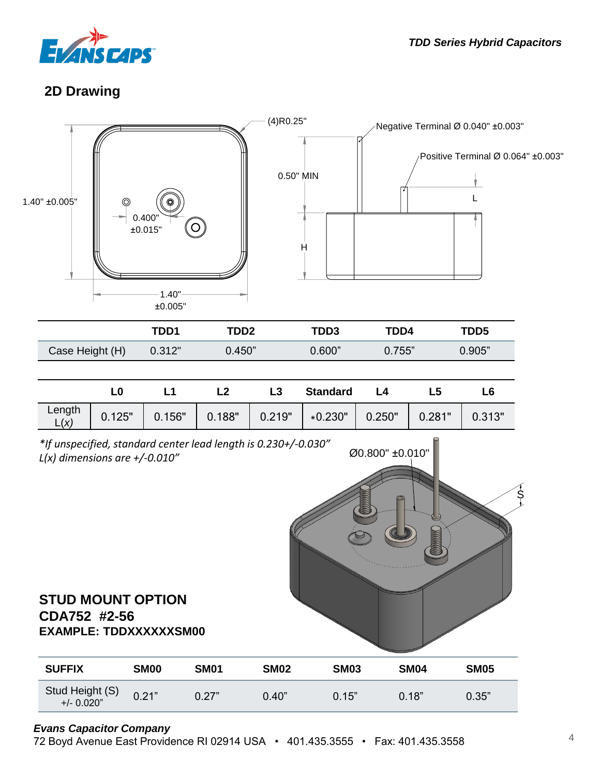

# **2D Drawing**





#### *Evans Capacitor Company*

72 Boyd Avenue East Providence RI 02914 USA • 401.435.3555 • Fax: 401.435.3558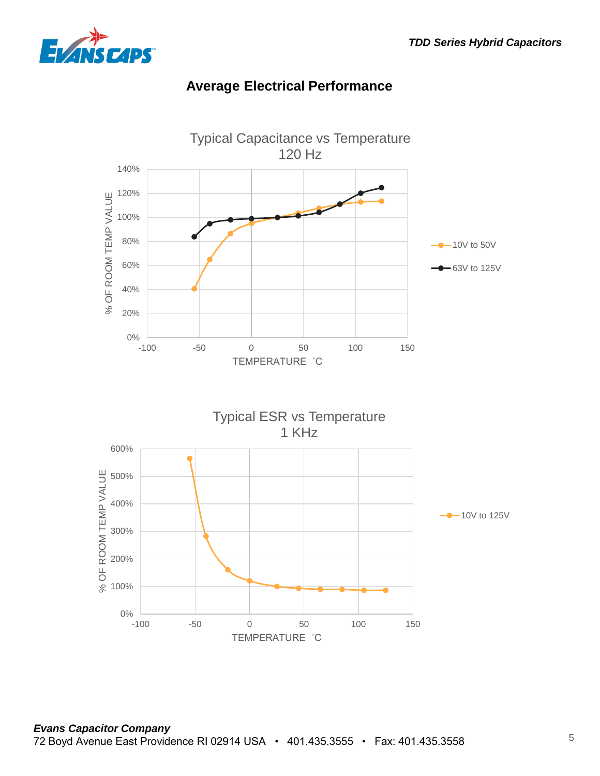